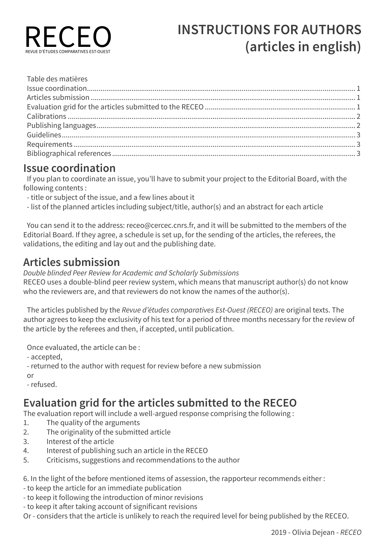

| Table des matières |  |
|--------------------|--|
|                    |  |
|                    |  |
|                    |  |
|                    |  |
|                    |  |
|                    |  |
|                    |  |
|                    |  |
|                    |  |

### **Issue coordination**

If you plan to coordinate an issue, you'll have to submit your project to the Editorial Board, with the following contents :

- title or subject of the issue, and a few lines about it
- list of the planned articles including subject/title, author(s) and an abstract for each article

You can send it to the address: receo@cercec.cnrs.fr, and it will be submitted to the members of the Editorial Board. If they agree, a schedule is set up, for the sending of the articles, the referees, the validations, the editing and lay out and the publishing date.

## **Articles submission**

*Double blinded Peer Review for Academic and Scholarly Submissions* RECEO uses a double-blind peer review system, which means that manuscript author(s) do not know who the reviewers are, and that reviewers do not know the names of the author(s).

The articles published by the *Revue d'études comparatives Est-Ouest (RECEO)* are original texts. The author agrees to keep the exclusivity of his text for a period of three months necessary for the review of the article by the referees and then, if accepted, until publication.

Once evaluated, the article can be :

- accepted,

- returned to the author with request for review before a new submission

or

- refused.

## **Evaluation grid for the articles submitted to the RECEO**

The evaluation report will include a well-argued response comprising the following :

- 1. The quality of the arguments
- 2. The originality of the submitted article
- 3. Interest of the article
- 4. Interest of publishing such an article in the RECEO
- 5. Criticisms, suggestions and recommendations to the author

6. In the light of the before mentioned items of assession, the rapporteur recommends either :

- to keep the article for an immediate publication
- to keep it following the introduction of minor revisions
- to keep it after taking account of significant revisions

Or - considers that the article is unlikely to reach the required level for being published by the RECEO.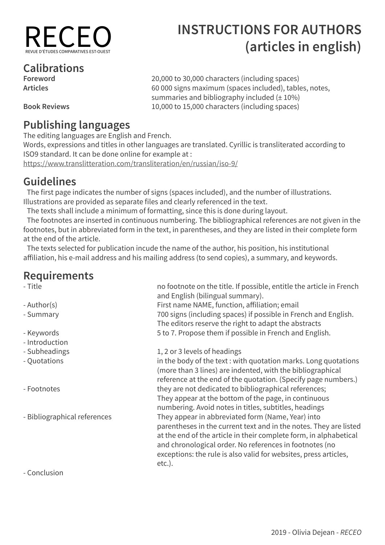

**Foreword** 20,000 to 30,000 characters (including spaces)

summaries and bibliography included  $(\pm 10\%)$ 

# **Calibrations**

**Articles** 60 000 signs maximum (spaces included), tables, notes,

**Book Reviews** 10,000 to 15,000 characters (including spaces)

## **Publishing languages**

The editing languages are English and French.

Words, expressions and titles in other languages are translated. Cyrillic is transliterated according to ISO9 standard. It can be done online for example at :

https://www.translitteration.com/transliteration/en/russian/iso-9/

## **Guidelines**

The first page indicates the number of signs (spaces included), and the number of illustrations. Illustrations are provided as separate files and clearly referenced in the text.

The texts shall include a minimum of formatting, since this is done during layout.

The footnotes are inserted in continuous numbering. The bibliographical references are not given in the footnotes, but in abbreviated form in the text, in parentheses, and they are listed in their complete form at the end of the article.

The texts selected for publication incude the name of the author, his position, his institutional affiliation, his e-mail address and his mailing address (to send copies), a summary, and keywords.

# **Requirements**

- 
- 
- 
- Introduction
- 
- 
- 
- 

no footnote on the title. If possible, entitle the article in French and English (bilingual summary). - Author(s) First name NAME, function, affiliation; email - Summary 700 signs (including spaces) if possible in French and English. The editors reserve the right to adapt the abstracts - Keywords Theorem 2012 Sto 7. Propose them if possible in French and English.

- Subheadings 2003 - 1, 2 or 3 levels of headings

- Quotations in the body of the text : with quotation marks. Long quotations (more than 3 lines) are indented, with the bibliographical reference at the end of the quotation. (Specify page numbers.) - Footnotes they are not dedicated to bibliographical references; They appear at the bottom of the page, in continuous numbering. Avoid notes in titles, subtitles, headings - Bibliographical references They appear in abbreviated form (Name, Year) into parentheses in the current text and in the notes. They are listed at the end of the article in their complete form, in alphabetical and chronological order. No references in footnotes (no exceptions: the rule is also valid for websites, press articles, etc.).

- Conclusion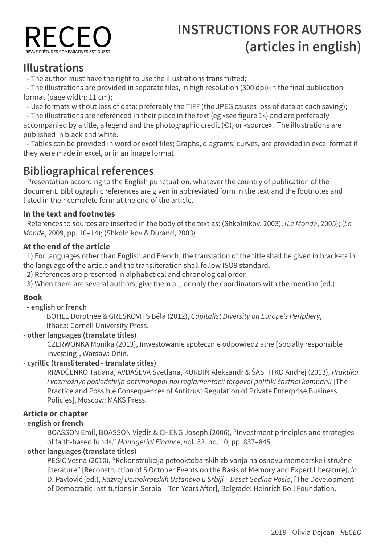

### **Illustrations**

- The author must have the right to use the illustrations transmitted;

- The illustrations are provided in separate files, in high resolution (300 dpi) in the final publication format (page width: 11 cm);

- Use formats without loss of data: preferably the TIFF (the JPEG causes loss of data at each saving);

- The illustrations are referenced in their place in the text (eg «see figure 1») and are preferably accompanied by a title, a legend and the photographic credit (©), or «source». The illustrations are published in black and white.

- Tables can be provided in word or excel files; Graphs, diagrams, curves, are provided in excel format if they were made in excel, or in an image format.

## **Bibliographical references**

Presentation according to the English punctuation, whatever the country of publication of the document. Bibliographic references are given in abbreviated form in the text and the footnotes and listed in their complete form at the end of the article.

#### **In the text and footnotes**

References to sources are inserted in the body of the text as: (Shkolnikov, 2003); (*Le Monde*, 2005); (*Le Monde*, 2009, pp. 10–14); (Shkolnikov & Durand, 2003)

#### **At the end of the article**

1) For languages other than English and French, the translation of the title shall be given in brackets in the language of the article and the transliteration shall follow ISO9 standard.

2) References are presented in alphabetical and chronological order.

3) When there are several authors, give them all, or only the coordinators with the mention (ed.)

#### **Book**

#### **- english or french**

BOHLE Dorothee & GRESKOVITS Béla (2012), *Capitalist Diversity on Europe's Periphery*, Ithaca: Cornell University Press.

#### **- other languages (translate titles)**

CZERWONKA Monika (2013), Inwestowanie społecznie odpowiedzialne [Socially responsible investing], Warsaw: Difin.

#### **- cyrillic (transliterated - translate titles)**

RRADČENKO Tatiana, AVDAŠEVA Svetlana, KURDIN Aleksandr & ŠASTITKO Andrej (2013), *Praktika*  i vozmožnye posledstvija antimonopol'noi reglamentacii torgovoi politiki častnoi kompanii [The Practice and Possible Consequences of Antitrust Regulation of Private Enterprise Business Policies], Moscow: MAKS Press.

#### **Article or chapter**

#### **- english or french**

BOASSON Emil, BOASSON Vigdis & CHENG Joseph (2006), "Investment principles and strategies of faith-based funds," Managerial Finance, vol. 32, no. 10, pp. 837–845.

#### **- other languages (translate titles)**

PEŠIĆ Vesna (2010), "Rekonstrukcija petooktobarskih zbivanja na osnovu memoarske i stručne literature" [Reconstruction of 5 October Events on the Basis of Memory and Expert Literature], *in* D. Pavlović (ed.), Razvoj Demokratskih Ustanova u Srbiji – Deset Godina Posle, [The Development of Democratic Institutions in Serbia – Ten Years After], Belgrade: Heinrich Boll Foundation.